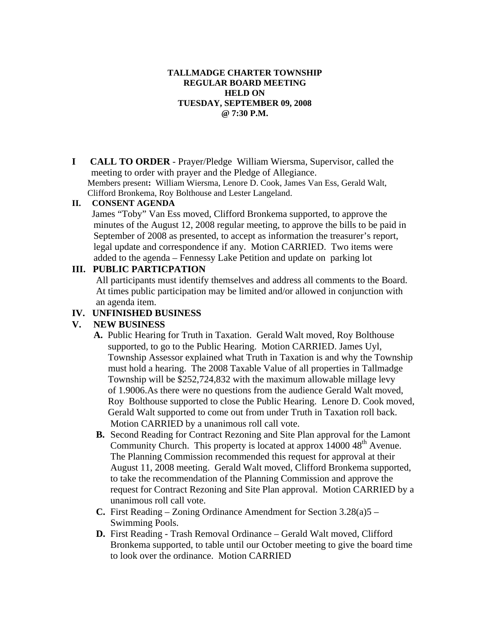### **TALLMADGE CHARTER TOWNSHIP REGULAR BOARD MEETING HELD ON TUESDAY, SEPTEMBER 09, 2008 @ 7:30 P.M.**

**I CALL TO ORDER** - Prayer/Pledge William Wiersma, Supervisor, called the meeting to order with prayer and the Pledge of Allegiance. Members present**:** William Wiersma, Lenore D. Cook, James Van Ess, Gerald Walt, Clifford Bronkema, Roy Bolthouse and Lester Langeland.

### **II. CONSENT AGENDA**

 James "Toby" Van Ess moved, Clifford Bronkema supported, to approve the minutes of the August 12, 2008 regular meeting, to approve the bills to be paid in September of 2008 as presented, to accept as information the treasurer's report, legal update and correspondence if any. Motion CARRIED. Two items were added to the agenda – Fennessy Lake Petition and update on parking lot

### **III. PUBLIC PARTICPATION**

 All participants must identify themselves and address all comments to the Board. At times public participation may be limited and/or allowed in conjunction with an agenda item.

## **IV. UNFINISHED BUSINESS**

### **V. NEW BUSINESS**

- **A.** Public Hearing for Truth in Taxation. Gerald Walt moved, Roy Bolthouse supported, to go to the Public Hearing. Motion CARRIED. James Uyl, Township Assessor explained what Truth in Taxation is and why the Township must hold a hearing. The 2008 Taxable Value of all properties in Tallmadge Township will be \$252,724,832 with the maximum allowable millage levy of 1.9006.As there were no questions from the audience Gerald Walt moved, Roy Bolthouse supported to close the Public Hearing. Lenore D. Cook moved, Gerald Walt supported to come out from under Truth in Taxation roll back. Motion CARRIED by a unanimous roll call vote.
- **B.** Second Reading for Contract Rezoning and Site Plan approval for the Lamont Community Church. This property is located at approx 14000 48<sup>th</sup> Avenue. The Planning Commission recommended this request for approval at their August 11, 2008 meeting. Gerald Walt moved, Clifford Bronkema supported, to take the recommendation of the Planning Commission and approve the request for Contract Rezoning and Site Plan approval. Motion CARRIED by a unanimous roll call vote.
- **C.** First Reading Zoning Ordinance Amendment for Section 3.28(a)5 Swimming Pools.
- **D.** First Reading Trash Removal Ordinance Gerald Walt moved, Clifford Bronkema supported, to table until our October meeting to give the board time to look over the ordinance. Motion CARRIED